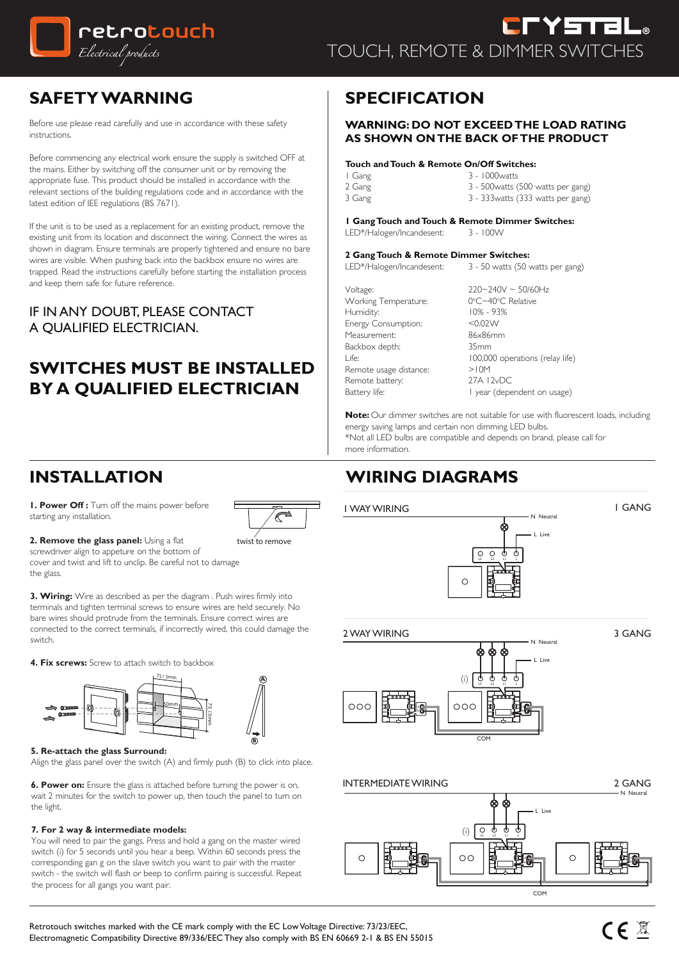

# CLYETEL® TOUCH, REMOTE & DIMMER SWITCHES

## **SAFETY WARNING**

Before use please read carefully and use in accordance with these safety instructions.

Before commencing any electrical work ensure the supply is switched OFF at the mains. Either by switching off the consumer unit or by removing the appropriate fuse. This product should be installed in accordance with the relevant sections of the building regulations code and in accordance with the latest edition of IEE regulations (BS 7671).

If the unit is to be used as a replacement for an existing product, remove the existing unit from its location and disconnect the wiring. Connect the wires as shown in diagram. Ensure terminals are properly tightened and ensure no bare wires are visible. When pushing back into the backbox ensure no wires are trapped. Read the instructions carefully before starting the installation process and keep them safe for future reference.

IF IN ANY DOUBT, PLEASE CONTACT A QUALIFIED ELECTRICIAN.

## **SWITCHES MUST BE INSTALLED BY A QUALIFIED ELECTRICIAN**

## **SPECIFICATION**

### **WARNING: DO NOT EXCEED THE LOAD RATING AS SHOWN ON THE BACK OF THE PRODUCT**

### **Touch and Touch & Remote On/Off Switches:**

| I Gang | 3 - 1000 watts                     |
|--------|------------------------------------|
| 2 Gang | 3 - 500 watts (500 watts per gang) |
| 3 Gang | 3 - 333 watts (333 watts per gang) |

### **1 Gang Touch and Touch & Remote Dimmer Switches:**

LED\*/Halogen/Incandesent: 3 - 100W

**2 Gang Touch & Remote Dimmer Switches:**<br>LED<sup>\*</sup>/Halogen/Incandesent: 3 - 50 watts (50 v 3 - 50 watts (50 watts per gang)

Voltage: 220~240V ~ 50/60Hz Working Temperature: 0°C~40°C<br>Humidity: 10% - 93% Humidity: 10% - 93<br>Fnerøy Consumption: 10% - 100 Energy Consumption: Measurement: 86x86mm<br>Backbox depth: 35mm Backbox depth: Remote usage distance:  $>10M$ <br>Remote battery: 27A 12vDC Remote battery:<br>Battery life:

'C∼40°C Relative Life: 100,000 operations (relay life) I year (dependent on usage)

**Note:** Our dimmer switches are not suitable for use with fluorescent loads, including energy saving lamps and certain non dimming LED bulbs. \*Not all LED bulbs are compatible and depends on brand, please call for more information.

## **WIRING DIAGRAMS**



### 2 WAY WIRING

3 GANG

1 GANG

**1. Power Off :** Turn off the mains power before starting any installation.

**INSTALLATION**



twist to remove

**A**

**B**

**2. Remove the glass panel:** Using a flat screwdriver align to appeture on the bottom of cover and twist and lift to unclip. Be careful not to damage the glass.

**3. Wiring:** Wire as described as per the diagram . Push wires firmly into terminals and tighten terminal screws to ensure wires are held securely. No bare wires should protrude from the terminals. Ensure correct wires are connected to the correct terminals, if incorrectly wired, this could damage the switch.

**4. Fix screws:** Screw to attach switch to backbox



#### **5. Re-attach the glass Surround:**

Align the glass panel over the switch (A) and firmly push (B) to click into place.

**6. Power on:** Ensure the glass is attached before turning the power is on, wait 2 minutes for the switch to power up, then touch the panel to turn on the light.

#### **7. For 2 way & intermediate models:**

You will need to pair the gangs, Press and hold a gang on the master wired switch (i) for 5 seconds until you hear a beep. Within 60 seconds press the corresponding gan g on the slave switch you want to pair with the master switch - the switch will flash or beep to confirm pairing is successful. Repeat the process for all gangs you want pair.





Retrotouch switches marked with the CE mark comply with the EC Low Voltage Directive: 73/23/EEC, Electromagnetic Compatibility Directive 89/336/EEC They also comply with BS EN 60669 2-1 & BS EN 55015